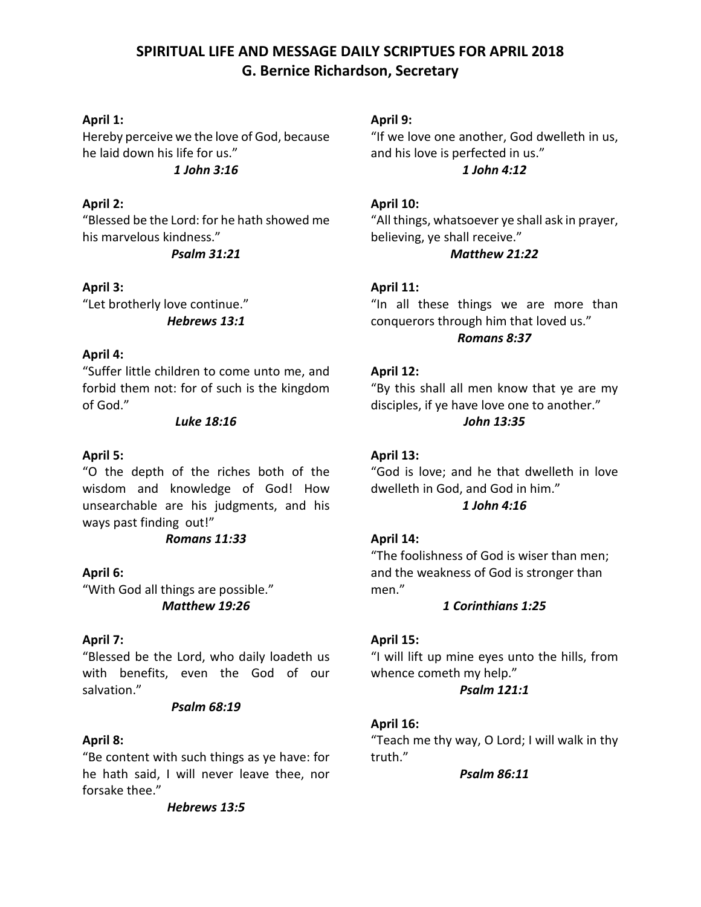# **SPIRITUAL LIFE AND MESSAGE DAILY SCRIPTUES FOR APRIL 2018 G. Bernice Richardson, Secretary**

### **April 1:**

Hereby perceive we the love of God, because he laid down his life for us." *1 John 3:16*

### **April 2:**

"Blessed be the Lord: for he hath showed me his marvelous kindness."

*Psalm 31:21*

**April 3:** "Let brotherly love continue." *Hebrews 13:1*

# **April 4:**

"Suffer little children to come unto me, and forbid them not: for of such is the kingdom of God."

### *Luke 18:16*

### **April 5:**

"O the depth of the riches both of the wisdom and knowledge of God! How unsearchable are his judgments, and his ways past finding out!"

# *Romans 11:33*

# **April 6:**

"With God all things are possible." *Matthew 19:26*

# **April 7:**

"Blessed be the Lord, who daily loadeth us with benefits, even the God of our salvation."

#### *Psalm 68:19*

# **April 8:**

"Be content with such things as ye have: for he hath said, I will never leave thee, nor forsake thee."

*Hebrews 13:5*

# **April 9:**

"If we love one another, God dwelleth in us, and his love is perfected in us." *1 John 4:12* 

### **April 10:**

"All things, whatsoever ye shall ask in prayer, believing, ye shall receive."

# *Matthew 21:22*

# **April 11:**

"In all these things we are more than conquerors through him that loved us." *Romans 8:37*

### **April 12:**

"By this shall all men know that ye are my disciples, if ye have love one to another." *John 13:35*

### **April 13:**

"God is love; and he that dwelleth in love dwelleth in God, and God in him."

# *1 John 4:16*

# **April 14:**

"The foolishness of God is wiser than men; and the weakness of God is stronger than men."

#### *1 Corinthians 1:25*

# **April 15:**

"I will lift up mine eyes unto the hills, from whence cometh my help."

#### *Psalm 121:1*

# **April 16:**

"Teach me thy way, O Lord; I will walk in thy truth."

*Psalm 86:11*